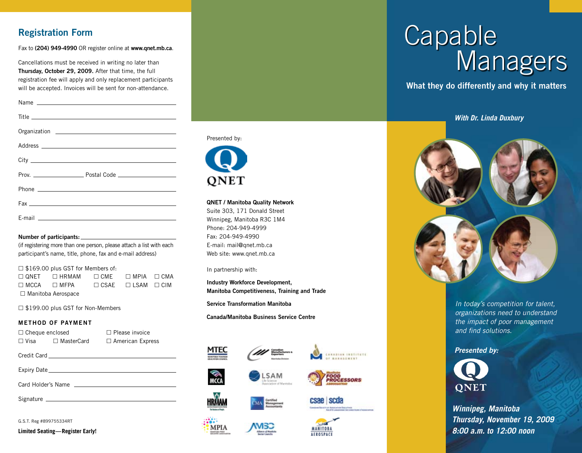# Registration Form

Fax to (204) 949-4990 OR register online at [www.qnet.mb.ca](http://www.qnet.mb.ca).

Cancellations must be received in writing no later than Thursday, October 29, 2009. After that time, the full registration fee will apply and only replacement participants will be accepted. Invoices will be sent for non-attendance.

#### Number of participants:

(if registering more than one person, please attach a list with each participant's name, title, phone, fax and e-mail address)

### $\square$  \$169.00 plus GST for Members of:

 $\square$  QNET  $\square$  HRMAM  $\square$  CME  $\square$  MPIA  $\square$  CMA  $\square$  MCCA  $\square$  MFPA  $\square$  CSAE  $\square$  LSAM  $\square$  CIM □ Manitoba Aerospace

□ \$199.00 plus GST for Non-Members

### METHOD OF PAYMENT

| $\Box$ Cheque enclosed |                   | $\Box$ Please invoice   |  |  |
|------------------------|-------------------|-------------------------|--|--|
| $\Box$ Visa            | $\Box$ MasterCard | $\Box$ American Express |  |  |
|                        |                   |                         |  |  |
| Credit Card            |                   |                         |  |  |
|                        |                   |                         |  |  |
| Expiry Date            |                   |                         |  |  |

Card Holder's Name

Signature \_\_

G.S.T. Reg #899755334RT

**Limited Seating—Register Early!**



#### QNET / Manitoba Quality Network

Suite 303, 171 Donald Street Winnipeg, Manitoba R3C 1M4 Phone: 204-949-4999 Fax: 204-949-4990 E-mail: [mail@qnet.mb.ca](mailto:mail@qnet.mb.ca) Web site: [www.qnet.mb.ca](http://www.qnet.mb.ca)

In partnership with:

Industry Workforce Development, Manitoba Competitiveness, Training and Trade

Service Transformation Manitoba

Canada/Manitoba Business Service Centre





CANADIAN INSTITUTE *MANARANTH* 





# Capable **Managers**

What they do differently and why it matters

*With Dr. Linda Duxbury*



*In today's competition for talent, organizations need to understand the impact of poor management and find solutions.* 

### *Presented by:*



*Winnipeg, Manitoba Thursday, November 19, 2009 8:00 a.m. to 12:00 noon*